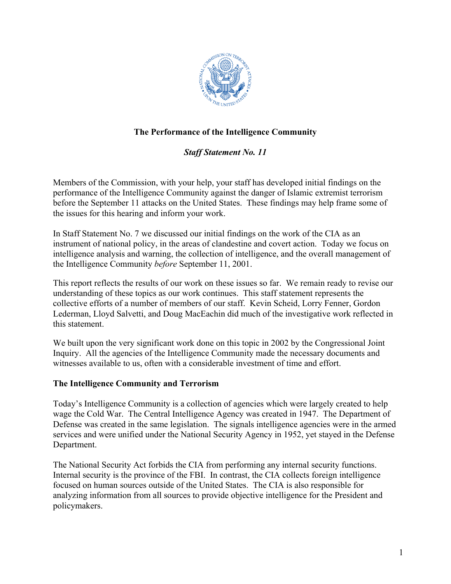

# **The Performance of the Intelligence Community**

# *Staff Statement No. 11*

Members of the Commission, with your help, your staff has developed initial findings on the performance of the Intelligence Community against the danger of Islamic extremist terrorism before the September 11 attacks on the United States. These findings may help frame some of the issues for this hearing and inform your work.

In Staff Statement No. 7 we discussed our initial findings on the work of the CIA as an instrument of national policy, in the areas of clandestine and covert action. Today we focus on intelligence analysis and warning, the collection of intelligence, and the overall management of the Intelligence Community *before* September 11, 2001.

This report reflects the results of our work on these issues so far. We remain ready to revise our understanding of these topics as our work continues. This staff statement represents the collective efforts of a number of members of our staff. Kevin Scheid, Lorry Fenner, Gordon Lederman, Lloyd Salvetti, and Doug MacEachin did much of the investigative work reflected in this statement.

We built upon the very significant work done on this topic in 2002 by the Congressional Joint Inquiry. All the agencies of the Intelligence Community made the necessary documents and witnesses available to us, often with a considerable investment of time and effort.

#### **The Intelligence Community and Terrorism**

Today's Intelligence Community is a collection of agencies which were largely created to help wage the Cold War. The Central Intelligence Agency was created in 1947. The Department of Defense was created in the same legislation. The signals intelligence agencies were in the armed services and were unified under the National Security Agency in 1952, yet stayed in the Defense Department.

The National Security Act forbids the CIA from performing any internal security functions. Internal security is the province of the FBI. In contrast, the CIA collects foreign intelligence focused on human sources outside of the United States. The CIA is also responsible for analyzing information from all sources to provide objective intelligence for the President and policymakers.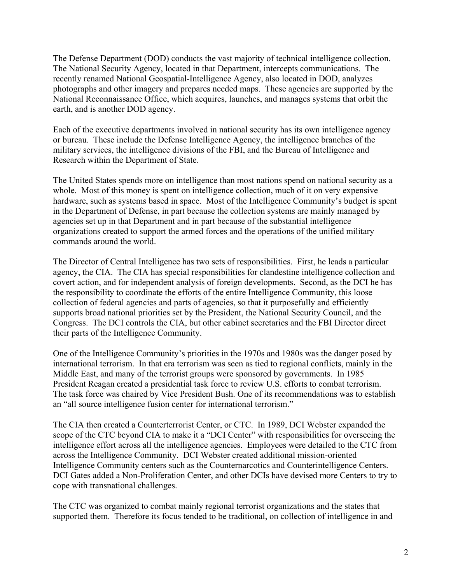The Defense Department (DOD) conducts the vast majority of technical intelligence collection. The National Security Agency, located in that Department, intercepts communications. The recently renamed National Geospatial-Intelligence Agency, also located in DOD, analyzes photographs and other imagery and prepares needed maps. These agencies are supported by the National Reconnaissance Office, which acquires, launches, and manages systems that orbit the earth, and is another DOD agency.

Each of the executive departments involved in national security has its own intelligence agency or bureau. These include the Defense Intelligence Agency, the intelligence branches of the military services, the intelligence divisions of the FBI, and the Bureau of Intelligence and Research within the Department of State.

The United States spends more on intelligence than most nations spend on national security as a whole. Most of this money is spent on intelligence collection, much of it on very expensive hardware, such as systems based in space. Most of the Intelligence Community's budget is spent in the Department of Defense, in part because the collection systems are mainly managed by agencies set up in that Department and in part because of the substantial intelligence organizations created to support the armed forces and the operations of the unified military commands around the world.

The Director of Central Intelligence has two sets of responsibilities. First, he leads a particular agency, the CIA. The CIA has special responsibilities for clandestine intelligence collection and covert action, and for independent analysis of foreign developments. Second, as the DCI he has the responsibility to coordinate the efforts of the entire Intelligence Community, this loose collection of federal agencies and parts of agencies, so that it purposefully and efficiently supports broad national priorities set by the President, the National Security Council, and the Congress. The DCI controls the CIA, but other cabinet secretaries and the FBI Director direct their parts of the Intelligence Community.

One of the Intelligence Community's priorities in the 1970s and 1980s was the danger posed by international terrorism. In that era terrorism was seen as tied to regional conflicts, mainly in the Middle East, and many of the terrorist groups were sponsored by governments. In 1985 President Reagan created a presidential task force to review U.S. efforts to combat terrorism. The task force was chaired by Vice President Bush. One of its recommendations was to establish an "all source intelligence fusion center for international terrorism."

The CIA then created a Counterterrorist Center, or CTC. In 1989, DCI Webster expanded the scope of the CTC beyond CIA to make it a "DCI Center" with responsibilities for overseeing the intelligence effort across all the intelligence agencies. Employees were detailed to the CTC from across the Intelligence Community. DCI Webster created additional mission-oriented Intelligence Community centers such as the Counternarcotics and Counterintelligence Centers. DCI Gates added a Non-Proliferation Center, and other DCIs have devised more Centers to try to cope with transnational challenges.

The CTC was organized to combat mainly regional terrorist organizations and the states that supported them. Therefore its focus tended to be traditional, on collection of intelligence in and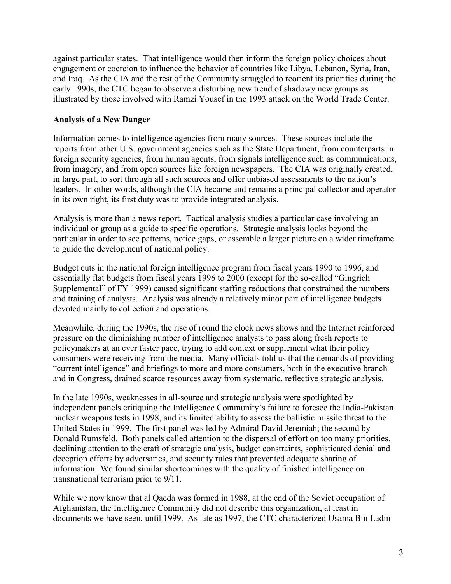against particular states. That intelligence would then inform the foreign policy choices about engagement or coercion to influence the behavior of countries like Libya, Lebanon, Syria, Iran, and Iraq. As the CIA and the rest of the Community struggled to reorient its priorities during the early 1990s, the CTC began to observe a disturbing new trend of shadowy new groups as illustrated by those involved with Ramzi Yousef in the 1993 attack on the World Trade Center.

#### **Analysis of a New Danger**

Information comes to intelligence agencies from many sources. These sources include the reports from other U.S. government agencies such as the State Department, from counterparts in foreign security agencies, from human agents, from signals intelligence such as communications, from imagery, and from open sources like foreign newspapers. The CIA was originally created, in large part, to sort through all such sources and offer unbiased assessments to the nation's leaders. In other words, although the CIA became and remains a principal collector and operator in its own right, its first duty was to provide integrated analysis.

Analysis is more than a news report. Tactical analysis studies a particular case involving an individual or group as a guide to specific operations. Strategic analysis looks beyond the particular in order to see patterns, notice gaps, or assemble a larger picture on a wider timeframe to guide the development of national policy.

Budget cuts in the national foreign intelligence program from fiscal years 1990 to 1996, and essentially flat budgets from fiscal years 1996 to 2000 (except for the so-called "Gingrich Supplemental" of FY 1999) caused significant staffing reductions that constrained the numbers and training of analysts. Analysis was already a relatively minor part of intelligence budgets devoted mainly to collection and operations.

Meanwhile, during the 1990s, the rise of round the clock news shows and the Internet reinforced pressure on the diminishing number of intelligence analysts to pass along fresh reports to policymakers at an ever faster pace, trying to add context or supplement what their policy consumers were receiving from the media. Many officials told us that the demands of providing "current intelligence" and briefings to more and more consumers, both in the executive branch and in Congress, drained scarce resources away from systematic, reflective strategic analysis.

In the late 1990s, weaknesses in all-source and strategic analysis were spotlighted by independent panels critiquing the Intelligence Community's failure to foresee the India-Pakistan nuclear weapons tests in 1998, and its limited ability to assess the ballistic missile threat to the United States in 1999. The first panel was led by Admiral David Jeremiah; the second by Donald Rumsfeld. Both panels called attention to the dispersal of effort on too many priorities, declining attention to the craft of strategic analysis, budget constraints, sophisticated denial and deception efforts by adversaries, and security rules that prevented adequate sharing of information. We found similar shortcomings with the quality of finished intelligence on transnational terrorism prior to 9/11.

While we now know that al Qaeda was formed in 1988, at the end of the Soviet occupation of Afghanistan, the Intelligence Community did not describe this organization, at least in documents we have seen, until 1999. As late as 1997, the CTC characterized Usama Bin Ladin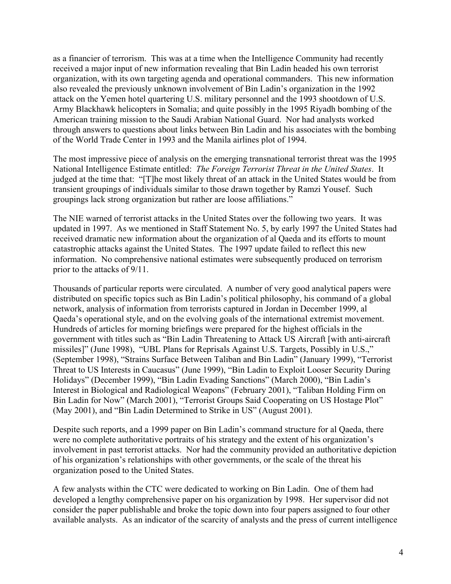as a financier of terrorism. This was at a time when the Intelligence Community had recently received a major input of new information revealing that Bin Ladin headed his own terrorist organization, with its own targeting agenda and operational commanders. This new information also revealed the previously unknown involvement of Bin Ladin's organization in the 1992 attack on the Yemen hotel quartering U.S. military personnel and the 1993 shootdown of U.S. Army Blackhawk helicopters in Somalia; and quite possibly in the 1995 Riyadh bombing of the American training mission to the Saudi Arabian National Guard. Nor had analysts worked through answers to questions about links between Bin Ladin and his associates with the bombing of the World Trade Center in 1993 and the Manila airlines plot of 1994.

The most impressive piece of analysis on the emerging transnational terrorist threat was the 1995 National Intelligence Estimate entitled: *The Foreign Terrorist Threat in the United States*. It judged at the time that: "[T]he most likely threat of an attack in the United States would be from transient groupings of individuals similar to those drawn together by Ramzi Yousef. Such groupings lack strong organization but rather are loose affiliations."

The NIE warned of terrorist attacks in the United States over the following two years. It was updated in 1997. As we mentioned in Staff Statement No. 5, by early 1997 the United States had received dramatic new information about the organization of al Qaeda and its efforts to mount catastrophic attacks against the United States. The 1997 update failed to reflect this new information. No comprehensive national estimates were subsequently produced on terrorism prior to the attacks of 9/11.

Thousands of particular reports were circulated. A number of very good analytical papers were distributed on specific topics such as Bin Ladin's political philosophy, his command of a global network, analysis of information from terrorists captured in Jordan in December 1999, al Qaeda's operational style, and on the evolving goals of the international extremist movement. Hundreds of articles for morning briefings were prepared for the highest officials in the government with titles such as "Bin Ladin Threatening to Attack US Aircraft [with anti-aircraft missiles]" (June 1998), "UBL Plans for Reprisals Against U.S. Targets, Possibly in U.S.," (September 1998), "Strains Surface Between Taliban and Bin Ladin" (January 1999), "Terrorist Threat to US Interests in Caucasus" (June 1999), "Bin Ladin to Exploit Looser Security During Holidays" (December 1999), "Bin Ladin Evading Sanctions" (March 2000), "Bin Ladin's Interest in Biological and Radiological Weapons" (February 2001), "Taliban Holding Firm on Bin Ladin for Now" (March 2001), "Terrorist Groups Said Cooperating on US Hostage Plot" (May 2001), and "Bin Ladin Determined to Strike in US" (August 2001).

Despite such reports, and a 1999 paper on Bin Ladin's command structure for al Qaeda, there were no complete authoritative portraits of his strategy and the extent of his organization's involvement in past terrorist attacks. Nor had the community provided an authoritative depiction of his organization's relationships with other governments, or the scale of the threat his organization posed to the United States.

A few analysts within the CTC were dedicated to working on Bin Ladin. One of them had developed a lengthy comprehensive paper on his organization by 1998. Her supervisor did not consider the paper publishable and broke the topic down into four papers assigned to four other available analysts. As an indicator of the scarcity of analysts and the press of current intelligence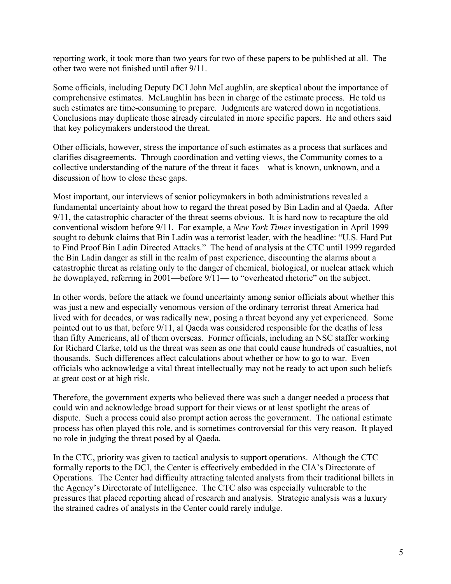reporting work, it took more than two years for two of these papers to be published at all. The other two were not finished until after 9/11.

Some officials, including Deputy DCI John McLaughlin, are skeptical about the importance of comprehensive estimates. McLaughlin has been in charge of the estimate process. He told us such estimates are time-consuming to prepare. Judgments are watered down in negotiations. Conclusions may duplicate those already circulated in more specific papers. He and others said that key policymakers understood the threat.

Other officials, however, stress the importance of such estimates as a process that surfaces and clarifies disagreements. Through coordination and vetting views, the Community comes to a collective understanding of the nature of the threat it faces—what is known, unknown, and a discussion of how to close these gaps.

Most important, our interviews of senior policymakers in both administrations revealed a fundamental uncertainty about how to regard the threat posed by Bin Ladin and al Qaeda. After 9/11, the catastrophic character of the threat seems obvious. It is hard now to recapture the old conventional wisdom before 9/11. For example, a *New York Times* investigation in April 1999 sought to debunk claims that Bin Ladin was a terrorist leader, with the headline: "U.S. Hard Put to Find Proof Bin Ladin Directed Attacks." The head of analysis at the CTC until 1999 regarded the Bin Ladin danger as still in the realm of past experience, discounting the alarms about a catastrophic threat as relating only to the danger of chemical, biological, or nuclear attack which he downplayed, referring in 2001—before 9/11— to "overheated rhetoric" on the subject.

In other words, before the attack we found uncertainty among senior officials about whether this was just a new and especially venomous version of the ordinary terrorist threat America had lived with for decades, or was radically new, posing a threat beyond any yet experienced. Some pointed out to us that, before 9/11, al Qaeda was considered responsible for the deaths of less than fifty Americans, all of them overseas. Former officials, including an NSC staffer working for Richard Clarke, told us the threat was seen as one that could cause hundreds of casualties, not thousands. Such differences affect calculations about whether or how to go to war. Even officials who acknowledge a vital threat intellectually may not be ready to act upon such beliefs at great cost or at high risk.

Therefore, the government experts who believed there was such a danger needed a process that could win and acknowledge broad support for their views or at least spotlight the areas of dispute. Such a process could also prompt action across the government. The national estimate process has often played this role, and is sometimes controversial for this very reason. It played no role in judging the threat posed by al Qaeda.

In the CTC, priority was given to tactical analysis to support operations. Although the CTC formally reports to the DCI, the Center is effectively embedded in the CIA's Directorate of Operations. The Center had difficulty attracting talented analysts from their traditional billets in the Agency's Directorate of Intelligence. The CTC also was especially vulnerable to the pressures that placed reporting ahead of research and analysis. Strategic analysis was a luxury the strained cadres of analysts in the Center could rarely indulge.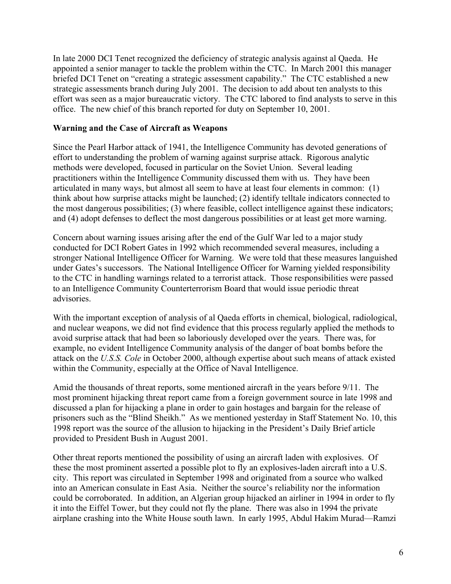In late 2000 DCI Tenet recognized the deficiency of strategic analysis against al Qaeda. He appointed a senior manager to tackle the problem within the CTC. In March 2001 this manager briefed DCI Tenet on "creating a strategic assessment capability." The CTC established a new strategic assessments branch during July 2001. The decision to add about ten analysts to this effort was seen as a major bureaucratic victory. The CTC labored to find analysts to serve in this office. The new chief of this branch reported for duty on September 10, 2001.

#### **Warning and the Case of Aircraft as Weapons**

Since the Pearl Harbor attack of 1941, the Intelligence Community has devoted generations of effort to understanding the problem of warning against surprise attack. Rigorous analytic methods were developed, focused in particular on the Soviet Union. Several leading practitioners within the Intelligence Community discussed them with us. They have been articulated in many ways, but almost all seem to have at least four elements in common: (1) think about how surprise attacks might be launched; (2) identify telltale indicators connected to the most dangerous possibilities; (3) where feasible, collect intelligence against these indicators; and (4) adopt defenses to deflect the most dangerous possibilities or at least get more warning.

Concern about warning issues arising after the end of the Gulf War led to a major study conducted for DCI Robert Gates in 1992 which recommended several measures, including a stronger National Intelligence Officer for Warning. We were told that these measures languished under Gates's successors. The National Intelligence Officer for Warning yielded responsibility to the CTC in handling warnings related to a terrorist attack. Those responsibilities were passed to an Intelligence Community Counterterrorism Board that would issue periodic threat advisories.

With the important exception of analysis of al Qaeda efforts in chemical, biological, radiological, and nuclear weapons, we did not find evidence that this process regularly applied the methods to avoid surprise attack that had been so laboriously developed over the years. There was, for example, no evident Intelligence Community analysis of the danger of boat bombs before the attack on the *U.S.S. Cole* in October 2000, although expertise about such means of attack existed within the Community, especially at the Office of Naval Intelligence.

Amid the thousands of threat reports, some mentioned aircraft in the years before 9/11. The most prominent hijacking threat report came from a foreign government source in late 1998 and discussed a plan for hijacking a plane in order to gain hostages and bargain for the release of prisoners such as the "Blind Sheikh." As we mentioned yesterday in Staff Statement No. 10, this 1998 report was the source of the allusion to hijacking in the President's Daily Brief article provided to President Bush in August 2001.

Other threat reports mentioned the possibility of using an aircraft laden with explosives. Of these the most prominent asserted a possible plot to fly an explosives-laden aircraft into a U.S. city. This report was circulated in September 1998 and originated from a source who walked into an American consulate in East Asia. Neither the source's reliability nor the information could be corroborated. In addition, an Algerian group hijacked an airliner in 1994 in order to fly it into the Eiffel Tower, but they could not fly the plane. There was also in 1994 the private airplane crashing into the White House south lawn. In early 1995, Abdul Hakim Murad—Ramzi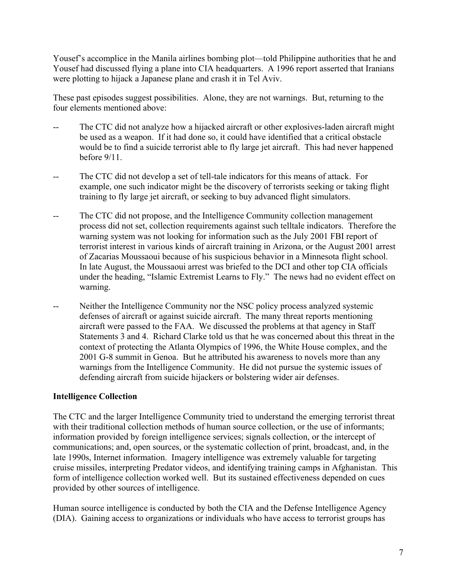Yousef's accomplice in the Manila airlines bombing plot—told Philippine authorities that he and Yousef had discussed flying a plane into CIA headquarters. A 1996 report asserted that Iranians were plotting to hijack a Japanese plane and crash it in Tel Aviv.

These past episodes suggest possibilities. Alone, they are not warnings. But, returning to the four elements mentioned above:

- The CTC did not analyze how a hijacked aircraft or other explosives-laden aircraft might be used as a weapon. If it had done so, it could have identified that a critical obstacle would be to find a suicide terrorist able to fly large jet aircraft. This had never happened before 9/11.
- -- The CTC did not develop a set of tell-tale indicators for this means of attack. For example, one such indicator might be the discovery of terrorists seeking or taking flight training to fly large jet aircraft, or seeking to buy advanced flight simulators.
- -- The CTC did not propose, and the Intelligence Community collection management process did not set, collection requirements against such telltale indicators. Therefore the warning system was not looking for information such as the July 2001 FBI report of terrorist interest in various kinds of aircraft training in Arizona, or the August 2001 arrest of Zacarias Moussaoui because of his suspicious behavior in a Minnesota flight school. In late August, the Moussaoui arrest was briefed to the DCI and other top CIA officials under the heading, "Islamic Extremist Learns to Fly." The news had no evident effect on warning.
- -- Neither the Intelligence Community nor the NSC policy process analyzed systemic defenses of aircraft or against suicide aircraft. The many threat reports mentioning aircraft were passed to the FAA. We discussed the problems at that agency in Staff Statements 3 and 4. Richard Clarke told us that he was concerned about this threat in the context of protecting the Atlanta Olympics of 1996, the White House complex, and the 2001 G-8 summit in Genoa. But he attributed his awareness to novels more than any warnings from the Intelligence Community. He did not pursue the systemic issues of defending aircraft from suicide hijackers or bolstering wider air defenses.

#### **Intelligence Collection**

The CTC and the larger Intelligence Community tried to understand the emerging terrorist threat with their traditional collection methods of human source collection, or the use of informants; information provided by foreign intelligence services; signals collection, or the intercept of communications; and, open sources, or the systematic collection of print, broadcast, and, in the late 1990s, Internet information. Imagery intelligence was extremely valuable for targeting cruise missiles, interpreting Predator videos, and identifying training camps in Afghanistan. This form of intelligence collection worked well. But its sustained effectiveness depended on cues provided by other sources of intelligence.

Human source intelligence is conducted by both the CIA and the Defense Intelligence Agency (DIA). Gaining access to organizations or individuals who have access to terrorist groups has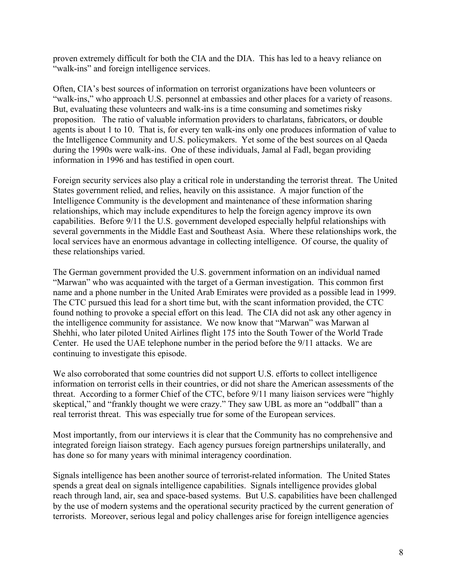proven extremely difficult for both the CIA and the DIA. This has led to a heavy reliance on "walk-ins" and foreign intelligence services.

Often, CIA's best sources of information on terrorist organizations have been volunteers or "walk-ins," who approach U.S. personnel at embassies and other places for a variety of reasons. But, evaluating these volunteers and walk-ins is a time consuming and sometimes risky proposition. The ratio of valuable information providers to charlatans, fabricators, or double agents is about 1 to 10. That is, for every ten walk-ins only one produces information of value to the Intelligence Community and U.S. policymakers. Yet some of the best sources on al Qaeda during the 1990s were walk-ins. One of these individuals, Jamal al Fadl, began providing information in 1996 and has testified in open court.

Foreign security services also play a critical role in understanding the terrorist threat. The United States government relied, and relies, heavily on this assistance. A major function of the Intelligence Community is the development and maintenance of these information sharing relationships, which may include expenditures to help the foreign agency improve its own capabilities. Before 9/11 the U.S. government developed especially helpful relationships with several governments in the Middle East and Southeast Asia. Where these relationships work, the local services have an enormous advantage in collecting intelligence. Of course, the quality of these relationships varied.

The German government provided the U.S. government information on an individual named "Marwan" who was acquainted with the target of a German investigation. This common first name and a phone number in the United Arab Emirates were provided as a possible lead in 1999. The CTC pursued this lead for a short time but, with the scant information provided, the CTC found nothing to provoke a special effort on this lead. The CIA did not ask any other agency in the intelligence community for assistance. We now know that "Marwan" was Marwan al Shehhi, who later piloted United Airlines flight 175 into the South Tower of the World Trade Center. He used the UAE telephone number in the period before the 9/11 attacks. We are continuing to investigate this episode.

We also corroborated that some countries did not support U.S. efforts to collect intelligence information on terrorist cells in their countries, or did not share the American assessments of the threat. According to a former Chief of the CTC, before 9/11 many liaison services were "highly skeptical," and "frankly thought we were crazy." They saw UBL as more an "oddball" than a real terrorist threat. This was especially true for some of the European services.

Most importantly, from our interviews it is clear that the Community has no comprehensive and integrated foreign liaison strategy. Each agency pursues foreign partnerships unilaterally, and has done so for many years with minimal interagency coordination.

Signals intelligence has been another source of terrorist-related information. The United States spends a great deal on signals intelligence capabilities. Signals intelligence provides global reach through land, air, sea and space-based systems. But U.S. capabilities have been challenged by the use of modern systems and the operational security practiced by the current generation of terrorists. Moreover, serious legal and policy challenges arise for foreign intelligence agencies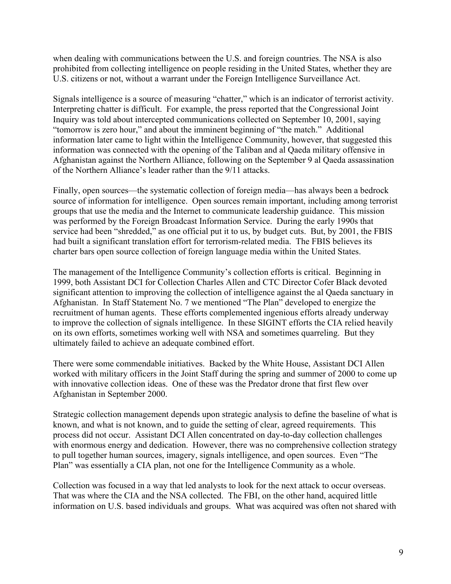when dealing with communications between the U.S. and foreign countries. The NSA is also prohibited from collecting intelligence on people residing in the United States, whether they are U.S. citizens or not, without a warrant under the Foreign Intelligence Surveillance Act.

Signals intelligence is a source of measuring "chatter," which is an indicator of terrorist activity. Interpreting chatter is difficult. For example, the press reported that the Congressional Joint Inquiry was told about intercepted communications collected on September 10, 2001, saying "tomorrow is zero hour," and about the imminent beginning of "the match." Additional information later came to light within the Intelligence Community, however, that suggested this information was connected with the opening of the Taliban and al Qaeda military offensive in Afghanistan against the Northern Alliance, following on the September 9 al Qaeda assassination of the Northern Alliance's leader rather than the 9/11 attacks.

Finally, open sources—the systematic collection of foreign media—has always been a bedrock source of information for intelligence. Open sources remain important, including among terrorist groups that use the media and the Internet to communicate leadership guidance. This mission was performed by the Foreign Broadcast Information Service. During the early 1990s that service had been "shredded," as one official put it to us, by budget cuts. But, by 2001, the FBIS had built a significant translation effort for terrorism-related media. The FBIS believes its charter bars open source collection of foreign language media within the United States.

The management of the Intelligence Community's collection efforts is critical. Beginning in 1999, both Assistant DCI for Collection Charles Allen and CTC Director Cofer Black devoted significant attention to improving the collection of intelligence against the al Qaeda sanctuary in Afghanistan. In Staff Statement No. 7 we mentioned "The Plan" developed to energize the recruitment of human agents. These efforts complemented ingenious efforts already underway to improve the collection of signals intelligence. In these SIGINT efforts the CIA relied heavily on its own efforts, sometimes working well with NSA and sometimes quarreling. But they ultimately failed to achieve an adequate combined effort.

There were some commendable initiatives. Backed by the White House, Assistant DCI Allen worked with military officers in the Joint Staff during the spring and summer of 2000 to come up with innovative collection ideas. One of these was the Predator drone that first flew over Afghanistan in September 2000.

Strategic collection management depends upon strategic analysis to define the baseline of what is known, and what is not known, and to guide the setting of clear, agreed requirements. This process did not occur. Assistant DCI Allen concentrated on day-to-day collection challenges with enormous energy and dedication. However, there was no comprehensive collection strategy to pull together human sources, imagery, signals intelligence, and open sources. Even "The Plan" was essentially a CIA plan, not one for the Intelligence Community as a whole.

Collection was focused in a way that led analysts to look for the next attack to occur overseas. That was where the CIA and the NSA collected. The FBI, on the other hand, acquired little information on U.S. based individuals and groups. What was acquired was often not shared with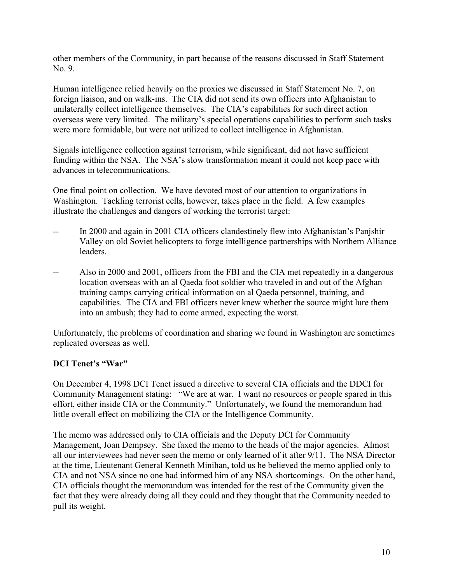other members of the Community, in part because of the reasons discussed in Staff Statement No. 9.

Human intelligence relied heavily on the proxies we discussed in Staff Statement No. 7, on foreign liaison, and on walk-ins. The CIA did not send its own officers into Afghanistan to unilaterally collect intelligence themselves. The CIA's capabilities for such direct action overseas were very limited. The military's special operations capabilities to perform such tasks were more formidable, but were not utilized to collect intelligence in Afghanistan.

Signals intelligence collection against terrorism, while significant, did not have sufficient funding within the NSA. The NSA's slow transformation meant it could not keep pace with advances in telecommunications.

One final point on collection. We have devoted most of our attention to organizations in Washington. Tackling terrorist cells, however, takes place in the field. A few examples illustrate the challenges and dangers of working the terrorist target:

- -- In 2000 and again in 2001 CIA officers clandestinely flew into Afghanistan's Panjshir Valley on old Soviet helicopters to forge intelligence partnerships with Northern Alliance leaders.
- Also in 2000 and 2001, officers from the FBI and the CIA met repeatedly in a dangerous location overseas with an al Qaeda foot soldier who traveled in and out of the Afghan training camps carrying critical information on al Qaeda personnel, training, and capabilities. The CIA and FBI officers never knew whether the source might lure them into an ambush; they had to come armed, expecting the worst.

Unfortunately, the problems of coordination and sharing we found in Washington are sometimes replicated overseas as well.

### **DCI Tenet's "War"**

On December 4, 1998 DCI Tenet issued a directive to several CIA officials and the DDCI for Community Management stating: "We are at war. I want no resources or people spared in this effort, either inside CIA or the Community." Unfortunately, we found the memorandum had little overall effect on mobilizing the CIA or the Intelligence Community.

The memo was addressed only to CIA officials and the Deputy DCI for Community Management, Joan Dempsey. She faxed the memo to the heads of the major agencies. Almost all our interviewees had never seen the memo or only learned of it after 9/11. The NSA Director at the time, Lieutenant General Kenneth Minihan, told us he believed the memo applied only to CIA and not NSA since no one had informed him of any NSA shortcomings. On the other hand, CIA officials thought the memorandum was intended for the rest of the Community given the fact that they were already doing all they could and they thought that the Community needed to pull its weight.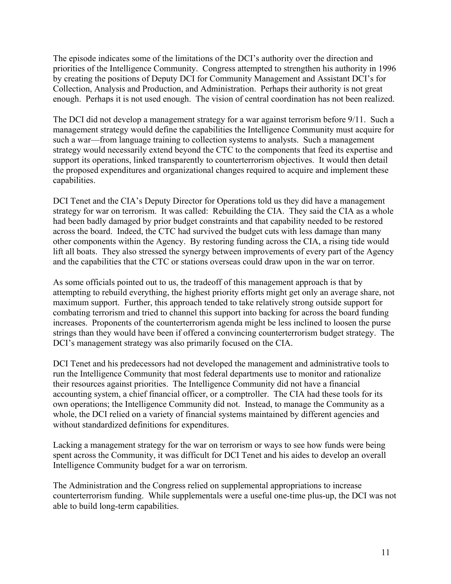The episode indicates some of the limitations of the DCI's authority over the direction and priorities of the Intelligence Community. Congress attempted to strengthen his authority in 1996 by creating the positions of Deputy DCI for Community Management and Assistant DCI's for Collection, Analysis and Production, and Administration. Perhaps their authority is not great enough. Perhaps it is not used enough. The vision of central coordination has not been realized.

The DCI did not develop a management strategy for a war against terrorism before 9/11. Such a management strategy would define the capabilities the Intelligence Community must acquire for such a war—from language training to collection systems to analysts. Such a management strategy would necessarily extend beyond the CTC to the components that feed its expertise and support its operations, linked transparently to counterterrorism objectives. It would then detail the proposed expenditures and organizational changes required to acquire and implement these capabilities.

DCI Tenet and the CIA's Deputy Director for Operations told us they did have a management strategy for war on terrorism. It was called: Rebuilding the CIA. They said the CIA as a whole had been badly damaged by prior budget constraints and that capability needed to be restored across the board. Indeed, the CTC had survived the budget cuts with less damage than many other components within the Agency. By restoring funding across the CIA, a rising tide would lift all boats. They also stressed the synergy between improvements of every part of the Agency and the capabilities that the CTC or stations overseas could draw upon in the war on terror.

As some officials pointed out to us, the tradeoff of this management approach is that by attempting to rebuild everything, the highest priority efforts might get only an average share, not maximum support. Further, this approach tended to take relatively strong outside support for combating terrorism and tried to channel this support into backing for across the board funding increases. Proponents of the counterterrorism agenda might be less inclined to loosen the purse strings than they would have been if offered a convincing counterterrorism budget strategy. The DCI's management strategy was also primarily focused on the CIA.

DCI Tenet and his predecessors had not developed the management and administrative tools to run the Intelligence Community that most federal departments use to monitor and rationalize their resources against priorities. The Intelligence Community did not have a financial accounting system, a chief financial officer, or a comptroller. The CIA had these tools for its own operations; the Intelligence Community did not. Instead, to manage the Community as a whole, the DCI relied on a variety of financial systems maintained by different agencies and without standardized definitions for expenditures.

Lacking a management strategy for the war on terrorism or ways to see how funds were being spent across the Community, it was difficult for DCI Tenet and his aides to develop an overall Intelligence Community budget for a war on terrorism.

The Administration and the Congress relied on supplemental appropriations to increase counterterrorism funding. While supplementals were a useful one-time plus-up, the DCI was not able to build long-term capabilities.